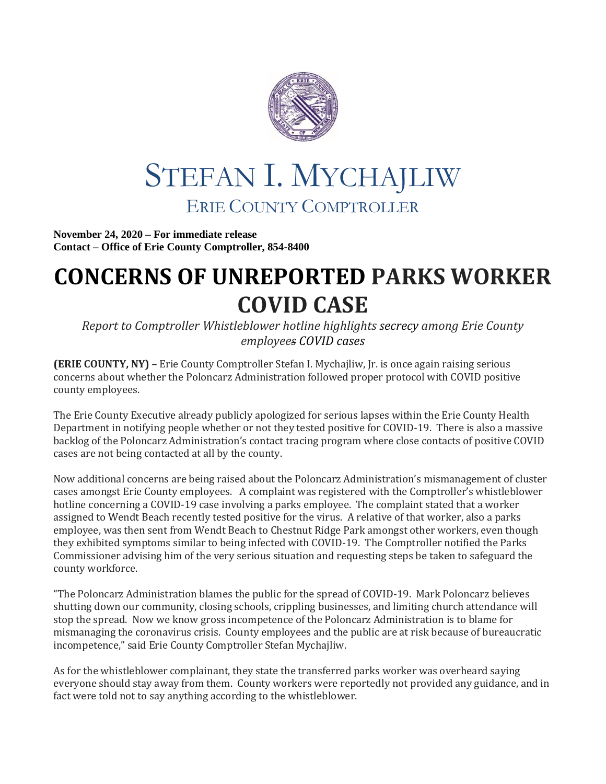

## STEFAN I. MYCHAJLIW ERIE COUNTY COMPTROLLER

**November 24, 2020 – For immediate release Contact – Office of Erie County Comptroller, 854-8400**

## **CONCERNS OF UNREPORTED PARKS WORKER COVID CASE**

*Report to Comptroller Whistleblower hotline highlights secrecy among Erie County employees COVID cases*

**(ERIE COUNTY, NY) –** Erie County Comptroller Stefan I. Mychajliw, Jr. is once again raising serious concerns about whether the Poloncarz Administration followed proper protocol with COVID positive county employees.

The Erie County Executive already publicly apologized for serious lapses within the Erie County Health Department in notifying people whether or not they tested positive for COVID-19. There is also a massive backlog of the Poloncarz Administration's contact tracing program where close contacts of positive COVID cases are not being contacted at all by the county.

Now additional concerns are being raised about the Poloncarz Administration's mismanagement of cluster cases amongst Erie County employees. A complaint was registered with the Comptroller's whistleblower hotline concerning a COVID-19 case involving a parks employee. The complaint stated that a worker assigned to Wendt Beach recently tested positive for the virus. A relative of that worker, also a parks employee, was then sent from Wendt Beach to Chestnut Ridge Park amongst other workers, even though they exhibited symptoms similar to being infected with COVID-19. The Comptroller notified the Parks Commissioner advising him of the very serious situation and requesting steps be taken to safeguard the county workforce.

"The Poloncarz Administration blames the public for the spread of COVID-19. Mark Poloncarz believes shutting down our community, closing schools, crippling businesses, and limiting church attendance will stop the spread. Now we know gross incompetence of the Poloncarz Administration is to blame for mismanaging the coronavirus crisis. County employees and the public are at risk because of bureaucratic incompetence," said Erie County Comptroller Stefan Mychajliw.

As for the whistleblower complainant, they state the transferred parks worker was overheard saying everyone should stay away from them. County workers were reportedly not provided any guidance, and in fact were told not to say anything according to the whistleblower.